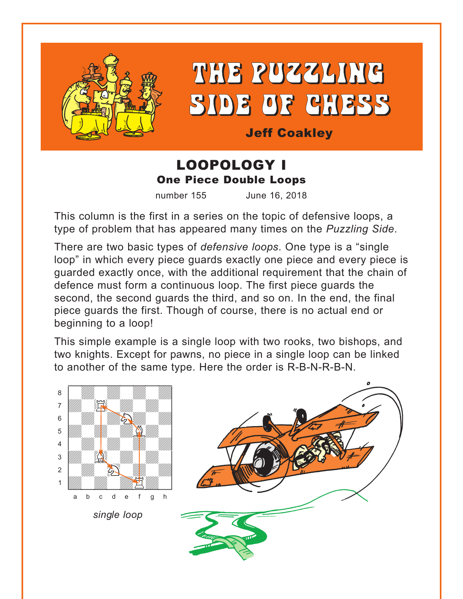

# THE PUZZLING SIDE OF CHESS

Jeff Coakley

## LOOPOLOGY I One Piece Double Loops

number 155 June 16, 2018

This column is the first in a series on the topic of defensive loops, a type of problem that has appeared many times on the *Puzzling Side*.

There are two basic types of *defensive loops*. One type is a "single loop" in which every piece guards exactly one piece and every piece is guarded exactly once, with the additional requirement that the chain of defence must form a continuous loop. The first piece guards the second, the second guards the third, and so on. In the end, the final piece guards the first. Though of course, there is no actual end or beginning to a loop!

This simple example is a single loop with two rooks, two bishops, and two knights. Except for pawns, no piece in a single loop can be linked to another of the same type. Here the order is R-B-N-R-B-N.

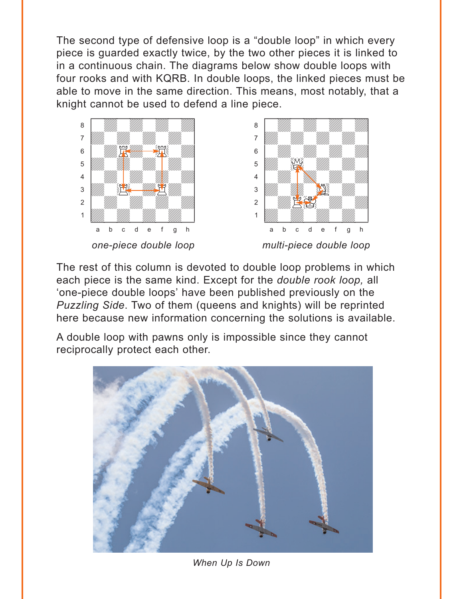The second type of defensive loop is a "double loop" in which every piece is guarded exactly twice, by the two other pieces it is linked to in a continuous chain. The diagrams below show double loops with four rooks and with KQRB. In double loops, the linked pieces must be able to move in the same direction. This means, most notably, that a knight cannot be used to defend a line piece.





The rest of this column is devoted to double loop problems in which each piece is the same kind. Except for the *double rook loop*, all 'one-piece double loops' have been published previously on the Puzzling Side. Two of them (queens and knights) will be reprinted here because new information concerning the solutions is available.

A double loop with pawns only is impossible since they cannot reciprocally protect each other.



When Up Is Down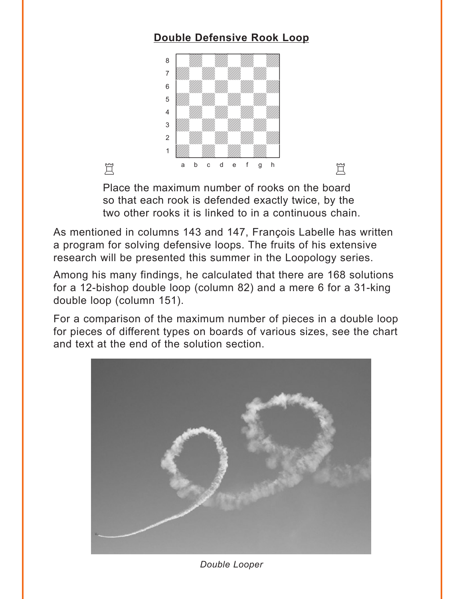## **[Double Defensive Rook Loop](#page-4-0)**

<span id="page-2-0"></span>

Place the maximum number of rooks on the board so that each rook is defended exactly twice, by the two other rooks it is linked to in a continuous chain.

As mentioned in columns 143 and 147, François Labelle has written a program for solving defensive loops. The fruits of his extensive research will be presented this summer in the Loopology series.

Among his many findings, he calculated that there are 168 solutions for a 12-bishop double loop (column 82) and a mere 6 for a 31-king double loop (column 151).

For a comparison of the maximum number of pieces in a double loop for pieces of different types on boards of various sizes, see the chart and text at the end of the solution section.



*Double Looper*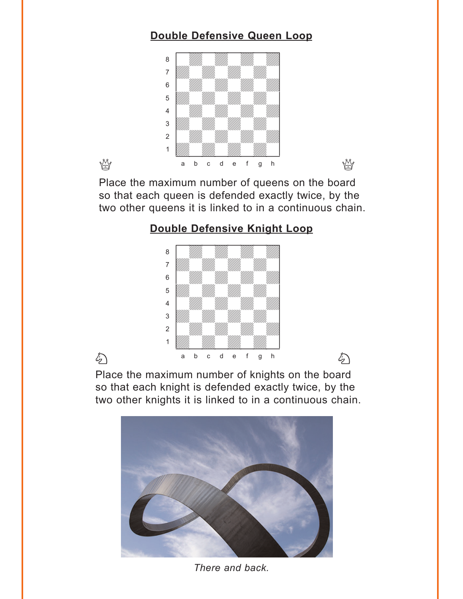## **[Double Defensive Queen Loop](#page-5-0)**

<span id="page-3-0"></span>

Place the maximum number of queens on the board so that each queen is defended exactly twice, by the two other queens it is linked to in a continuous chain.

## **[Double Defensive Knight Loop](#page-6-0)**



Place the maximum number of knights on the board so that each knight is defended exactly twice, by the two other knights it is linked to in a continuous chain.



*There and back.*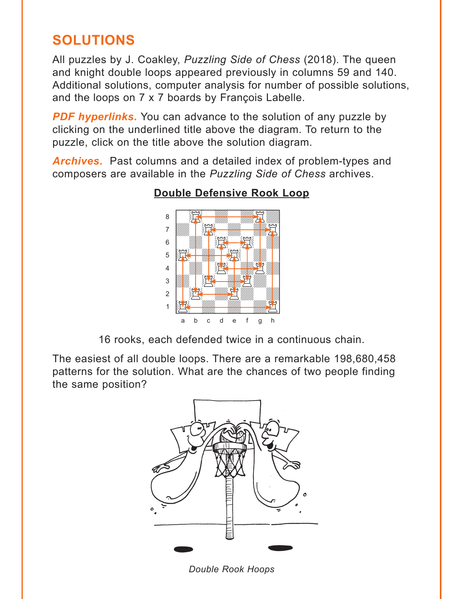# <span id="page-4-0"></span>**SOLUTIONS**

All puzzles by J. Coakley, Puzzling Side of Chess (2018). The queen and knight double loops appeared previously in columns 59 and 140. Additional solutions, computer analysis for number of possible solutions, and the loops on 7 x 7 boards by François Labelle.

**PDF hyperlinks.** You can advance to the solution of any puzzle by clicking on the underlined title above the diagram. To return to the puzzle, click on the title above the solution diagram.

**Archives.** Past columns and a detailed index of problem-types and composers are available in the Puzzling Side of Chess archives.



## **Double Defensive Rook Loop**

16 rooks, each defended twice in a continuous chain.

The easiest of all double loops. There are a remarkable 198,680,458 patterns for the solution. What are the chances of two people finding the same position?



**Double Rook Hoops**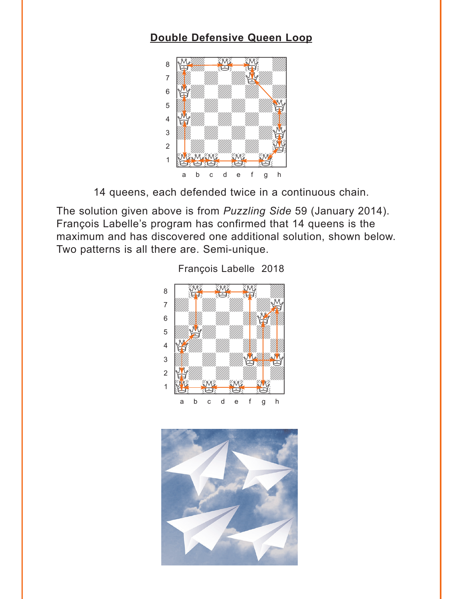### <span id="page-5-0"></span>**[Double Defensive Queen Loop](#page-3-0)**



14 queens, each defended twice in a continuous chain.

The solution given above is from *Puzzling Side* 59 (January 2014). François Labelle's program has confirmed that 14 queens is the maximum and has discovered one additional solution, shown below. Two patterns is all there are. Semi-unique.



François Labelle 2018

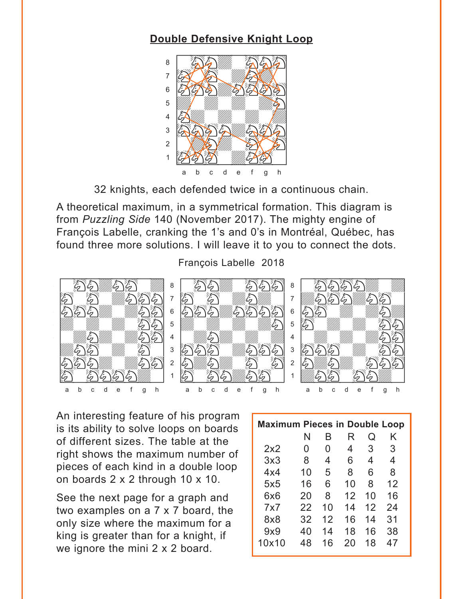#### <span id="page-6-0"></span>**[Double Defensive Knight Loop](#page-3-0)**



32 knights, each defended twice in a continuous chain.

A theoretical maximum, in a symmetrical formation. This diagram is from *Puzzling Side* 140 (November 2017). The mighty engine of François Labelle, cranking the 1's and 0's in Montréal, Québec, has found three more solutions. I will leave it to you to connect the dots.

François Labelle 2018



An interesting feature of his program is its ability to solve loops on boards of different sizes. The table at the right shows the maximum number of pieces of each kind in a double loop on boards 2 x 2 through 10 x 10.

See the next page for a graph and two examples on a 7 x 7 board, the only size where the maximum for a king is greater than for a knight, if we ignore the mini 2 x 2 board.

| <b>Maximum Pieces in Double Loop</b> |    |    |    |    |    |
|--------------------------------------|----|----|----|----|----|
|                                      | N  | B  | R  | Q  | Κ  |
| 2x2                                  | 0  | 0  | 4  | 3  | 3  |
| 3x3                                  | 8  | 4  | 6  | 4  | 4  |
| 4x4                                  | 10 | 5  | 8  | 6  | 8  |
| 5x5                                  | 16 | 6  | 10 | 8  | 12 |
| 6x6                                  | 20 | 8  | 12 | 10 | 16 |
| 7x7                                  | 22 | 10 | 14 | 12 | 24 |
| 8x8                                  | 32 | 12 | 16 | 14 | 31 |
| 9x9                                  | 40 | 14 | 18 | 16 | 38 |
| 10x10                                | 48 | 16 | 20 | 18 | 47 |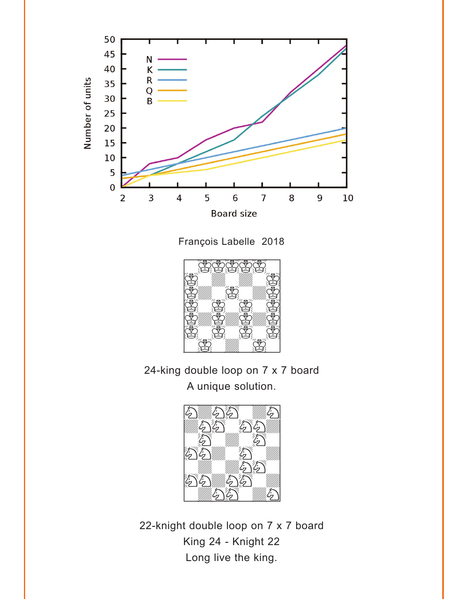

François Labelle 2018



24-king double loop on 7 x 7 board A unique solution.



22-knight double loop on 7 x 7 board King 24 - Knight 22 Long live the king.